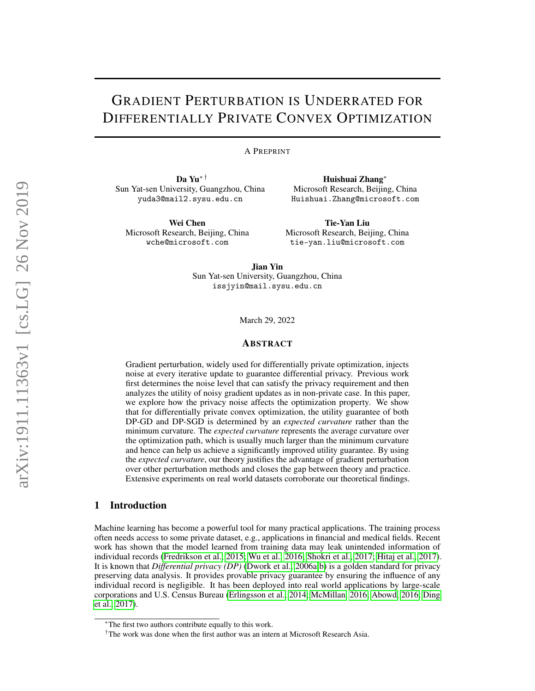# <span id="page-0-0"></span>GRADIENT PERTURBATION IS UNDERRATED FOR DIFFERENTIALLY PRIVATE CONVEX OPTIMIZATION

### A PREPRINT

Da Yu∗ † Sun Yat-sen University, Guangzhou, China yuda3@mail2.sysu.edu.cn

Wei Chen Microsoft Research, Beijing, China wche@microsoft.com

Huishuai Zhang<sup>∗</sup> Microsoft Research, Beijing, China Huishuai.Zhang@microsoft.com

Tie-Yan Liu Microsoft Research, Beijing, China tie-yan.liu@microsoft.com

Jian Yin Sun Yat-sen University, Guangzhou, China issjyin@mail.sysu.edu.cn

March 29, 2022

## ABSTRACT

Gradient perturbation, widely used for differentially private optimization, injects noise at every iterative update to guarantee differential privacy. Previous work first determines the noise level that can satisfy the privacy requirement and then analyzes the utility of noisy gradient updates as in non-private case. In this paper, we explore how the privacy noise affects the optimization property. We show that for differentially private convex optimization, the utility guarantee of both DP-GD and DP-SGD is determined by an *expected curvature* rather than the minimum curvature. The *expected curvature* represents the average curvature over the optimization path, which is usually much larger than the minimum curvature and hence can help us achieve a significantly improved utility guarantee. By using the *expected curvature*, our theory justifies the advantage of gradient perturbation over other perturbation methods and closes the gap between theory and practice. Extensive experiments on real world datasets corroborate our theoretical findings.

# 1 Introduction

Machine learning has become a powerful tool for many practical applications. The training process often needs access to some private dataset, e.g., applications in financial and medical fields. Recent work has shown that the model learned from training data may leak unintended information of individual records [\(Fredrikson et al., 2015;](#page-9-0) [Wu et al., 2016;](#page-10-0) [Shokri et al., 2017;](#page-10-1) [Hitaj et al., 2017\)](#page-9-1). It is known that *Differential privacy (DP)* [\(Dwork et al., 2006a;](#page-9-2)[b\)](#page-9-3) is a golden standard for privacy preserving data analysis. It provides provable privacy guarantee by ensuring the influence of any individual record is negligible. It has been deployed into real world applications by large-scale corporations and U.S. Census Bureau [\(Erlingsson et al., 2014;](#page-9-4) [McMillan, 2016;](#page-9-5) [Abowd, 2016;](#page-9-6) [Ding](#page-9-7) [et al., 2017\)](#page-9-7).

<sup>∗</sup>The first two authors contribute equally to this work.

<sup>&</sup>lt;sup>†</sup>The work was done when the first author was an intern at Microsoft Research Asia.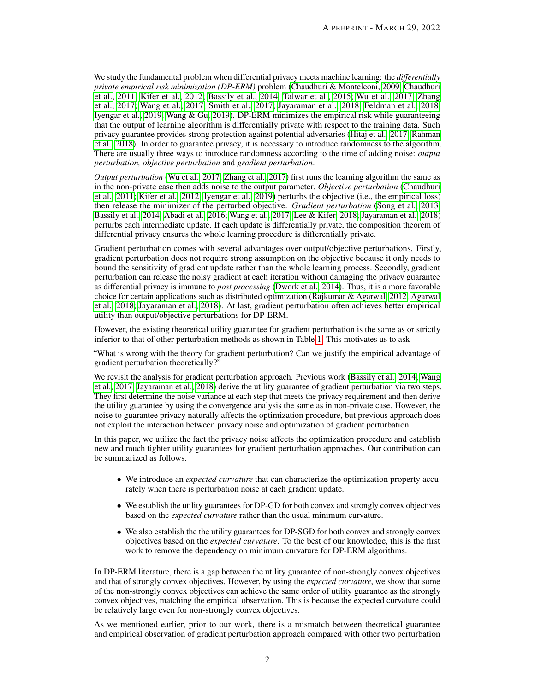We study the fundamental problem when differential privacy meets machine learning: the *differentially private empirical risk minimization (DP-ERM)* problem [\(Chaudhuri & Monteleoni, 2009;](#page-9-8) [Chaudhuri](#page-9-9) [et al., 2011;](#page-9-9) [Kifer et al., 2012;](#page-9-10) [Bassily et al., 2014;](#page-9-11) [Talwar et al., 2015;](#page-10-2) [Wu et al., 2017;](#page-10-3) [Zhang](#page-10-4) [et al., 2017;](#page-10-4) [Wang et al., 2017;](#page-10-5) [Smith et al., 2017;](#page-10-6) [Jayaraman et al., 2018;](#page-9-12) [Feldman et al., 2018;](#page-9-13) [Iyengar et al., 2019;](#page-9-14) [Wang & Gu, 2019\)](#page-10-7). DP-ERM minimizes the empirical risk while guaranteeing that the output of learning algorithm is differentially private with respect to the training data. Such privacy guarantee provides strong protection against potential adversaries [\(Hitaj et al., 2017;](#page-9-1) [Rahman](#page-10-8) [et al., 2018\)](#page-10-8). In order to guarantee privacy, it is necessary to introduce randomness to the algorithm. There are usually three ways to introduce randomness according to the time of adding noise: *output perturbation, objective perturbation* and *gradient perturbation*.

*Output perturbation* [\(Wu et al., 2017;](#page-10-3) [Zhang et al., 2017\)](#page-10-4) first runs the learning algorithm the same as in the non-private case then adds noise to the output parameter. *Objective perturbation* [\(Chaudhuri](#page-9-9) [et al., 2011;](#page-9-9) [Kifer et al., 2012;](#page-9-10) [Iyengar et al., 2019\)](#page-9-14) perturbs the objective (i.e., the empirical loss) then release the minimizer of the perturbed objective. *Gradient perturbation* [\(Song et al., 2013;](#page-10-9) [Bassily et al., 2014;](#page-9-11) [Abadi et al., 2016;](#page-9-15) [Wang et al., 2017;](#page-10-5) [Lee & Kifer, 2018;](#page-9-16) [Jayaraman et al., 2018\)](#page-9-12) perturbs each intermediate update. If each update is differentially private, the composition theorem of differential privacy ensures the whole learning procedure is differentially private.

Gradient perturbation comes with several advantages over output/objective perturbations. Firstly, gradient perturbation does not require strong assumption on the objective because it only needs to bound the sensitivity of gradient update rather than the whole learning process. Secondly, gradient perturbation can release the noisy gradient at each iteration without damaging the privacy guarantee as differential privacy is immune to *post processing* [\(Dwork et al., 2014\)](#page-9-17). Thus, it is a more favorable choice for certain applications such as distributed optimization [\(Rajkumar & Agarwal, 2012;](#page-10-10) [Agarwal](#page-9-18) [et al., 2018;](#page-9-18) [Jayaraman et al., 2018\)](#page-9-12). At last, gradient perturbation often achieves better empirical utility than output/objective perturbations for DP-ERM.

However, the existing theoretical utility guarantee for gradient perturbation is the same as or strictly inferior to that of other perturbation methods as shown in Table [1.](#page-2-0) This motivates us to ask

"What is wrong with the theory for gradient perturbation? Can we justify the empirical advantage of gradient perturbation theoretically?"

We revisit the analysis for gradient perturbation approach. Previous work [\(Bassily et al., 2014;](#page-9-11) [Wang](#page-10-5) [et al., 2017;](#page-10-5) [Jayaraman et al., 2018\)](#page-9-12) derive the utility guarantee of gradient perturbation via two steps. They first determine the noise variance at each step that meets the privacy requirement and then derive the utility guarantee by using the convergence analysis the same as in non-private case. However, the noise to guarantee privacy naturally affects the optimization procedure, but previous approach does not exploit the interaction between privacy noise and optimization of gradient perturbation.

In this paper, we utilize the fact the privacy noise affects the optimization procedure and establish new and much tighter utility guarantees for gradient perturbation approaches. Our contribution can be summarized as follows.

- We introduce an *expected curvature* that can characterize the optimization property accurately when there is perturbation noise at each gradient update.
- We establish the utility guarantees for DP-GD for both convex and strongly convex objectives based on the *expected curvature* rather than the usual minimum curvature.
- We also establish the the utility guarantees for DP-SGD for both convex and strongly convex objectives based on the *expected curvature*. To the best of our knowledge, this is the first work to remove the dependency on minimum curvature for DP-ERM algorithms.

In DP-ERM literature, there is a gap between the utility guarantee of non-strongly convex objectives and that of strongly convex objectives. However, by using the *expected curvature*, we show that some of the non-strongly convex objectives can achieve the same order of utility guarantee as the strongly convex objectives, matching the empirical observation. This is because the expected curvature could be relatively large even for non-strongly convex objectives.

As we mentioned earlier, prior to our work, there is a mismatch between theoretical guarantee and empirical observation of gradient perturbation approach compared with other two perturbation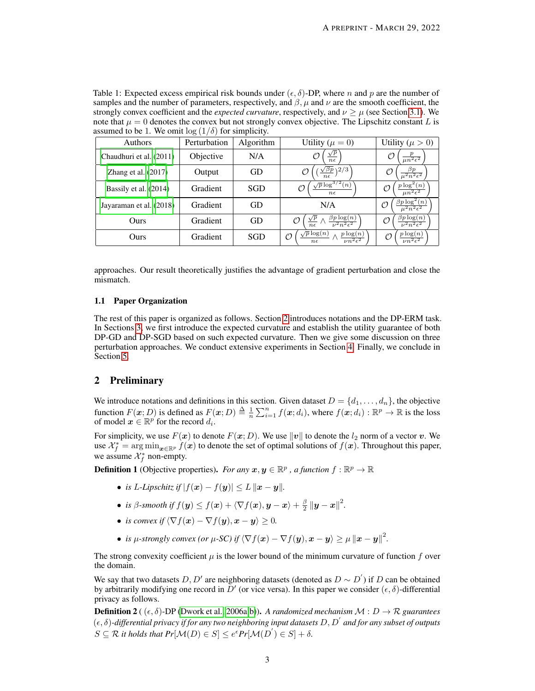<span id="page-2-0"></span>Table 1: Expected excess empirical risk bounds under  $(\epsilon, \delta)$ -DP, where *n* and *p* are the number of samples and the number of parameters, respectively, and  $\beta$ ,  $\mu$  and  $\nu$  are the smooth coefficient, the strongly convex coefficient and the *expected curvature*, respectively, and  $\nu \geq \mu$  (see Section [3.1\)](#page-3-0). We note that  $\mu = 0$  denotes the convex but not strongly convex objective. The Lipschitz constant L is assumed to be 1. We omit  $\log(1/\delta)$  for simplicity.

| Authors                 | Perturbation | Algorithm | Utility ( $\mu = 0$ )                                  | Utility ( $\mu > 0$ )                                        |
|-------------------------|--------------|-----------|--------------------------------------------------------|--------------------------------------------------------------|
| Chaudhuri et al. (2011) | Objective    | N/A       | $\sqrt{p}$<br>$n\epsilon$                              | O<br>$\overline{\mu n^2 \epsilon^2}$                         |
| Zhang et al. $(2017)$   | Output       | GD        | $\sqrt{\beta p}$ \2/3                                  | $\overline{\mu^2 n^2 \epsilon^2}$                            |
| Bassily et al. (2014)   | Gradient     | SGD       | $\sqrt{p} \log^{3/2}(n)$<br>$n\epsilon$                | $v \log^2(n)$<br>Ω                                           |
| Jayaraman et al. (2018) | Gradient     | GD        | N/A                                                    | $\beta p \log^2(n)$                                          |
| Ours                    | Gradient     | GD        | $\beta p \log(n)$<br>$u^2n^2\epsilon^2$<br>$n\epsilon$ | $\beta p \log(n)$<br>$\varnothing$<br>$\nu^2 n^2 \epsilon^2$ |
| Ours                    | Gradient     | SGD       | $\sqrt{p} \log(n)$<br>$p \log(n)$<br>O<br>$n \epsilon$ | $p \log(n)$<br>$\varnothing$<br>$\nu n^2 \epsilon^2$         |

approaches. Our result theoretically justifies the advantage of gradient perturbation and close the mismatch.

## 1.1 Paper Organization

The rest of this paper is organized as follows. Section [2](#page-2-1) introduces notations and the DP-ERM task. In Sections [3,](#page-3-1) we first introduce the expected curvature and establish the utility guarantee of both DP-GD and DP-SGD based on such expected curvature. Then we give some discussion on three perturbation approaches. We conduct extensive experiments in Section [4.](#page-7-0) Finally, we conclude in Section [5.](#page-8-0)

## <span id="page-2-1"></span>2 Preliminary

We introduce notations and definitions in this section. Given dataset  $D = \{d_1, \ldots, d_n\}$ , the objective function  $F(\mathbf{x}; D)$  is defined as  $F(\mathbf{x}; D) \triangleq \frac{1}{n} \sum_{i=1}^{n} f(\mathbf{x}; d_i)$ , where  $f(\mathbf{x}; d_i) : \mathbb{R}^p \to \mathbb{R}$  is the loss of model  $x \in \mathbb{R}^p$  for the record  $d_i$ .

For simplicity, we use  $F(x)$  to denote  $F(x; D)$ . We use  $||v||$  to denote the  $l_2$  norm of a vector v. We use  $\mathcal{X}_f^* = \arg\min_{\bm{x} \in \mathbb{R}^p} f(\bm{x})$  to denote the set of optimal solutions of  $f(\bm{x})$ . Throughout this paper, we assume  $\mathcal{X}_f^*$  non-empty.

**Definition 1** (Objective properties). *For any*  $x, y \in \mathbb{R}^p$ , *a function*  $f : \mathbb{R}^p \to \mathbb{R}$ 

- *is L*-*Lipschitz if*  $|f(x) f(y)| \le L \|x y\|$ *.*
- *is*  $\beta$ -smooth if  $f(\mathbf{y}) \le f(\mathbf{x}) + \langle \nabla f(\mathbf{x}), \mathbf{y} \mathbf{x} \rangle + \frac{\beta}{2} ||\mathbf{y} \mathbf{x}||^2$ .
- *is convex if*  $\langle \nabla f(x) \nabla f(y), x y \rangle > 0$ .
- *is µ-strongly convex (or µ-SC) if*  $\langle \nabla f(\mathbf{x}) \nabla f(\mathbf{y}), \mathbf{x} \mathbf{y} \rangle \ge \mu ||\mathbf{x} \mathbf{y}||^2$ .

The strong convexity coefficient  $\mu$  is the lower bound of the minimum curvature of function  $f$  over the domain.

We say that two datasets  $D, D'$  are neighboring datasets (denoted as  $D \sim D'$ ) if D can be obtained by arbitrarily modifying one record in  $\bar{D}'$  (or vice versa). In this paper we consider  $(\epsilon, \delta)$ -differential privacy as follows.

**Definition 2** ( $(\epsilon, \delta)$ -DP [\(Dwork et al., 2006a;](#page-9-2)[b\)](#page-9-3)). *A randomized mechanism*  $\mathcal{M}: D \to \mathcal{R}$  *guarantees*  $(\epsilon, \delta)$ -differential privacy if for any two neighboring input datasets  $D, D'$  and for any subset of outputs  $S \subseteq \mathcal{R}$  it holds that  $Pr[\mathcal{M}(D) \in S] \leq e^{\epsilon} Pr[\mathcal{M}(D^{'}) \in S] + \delta.$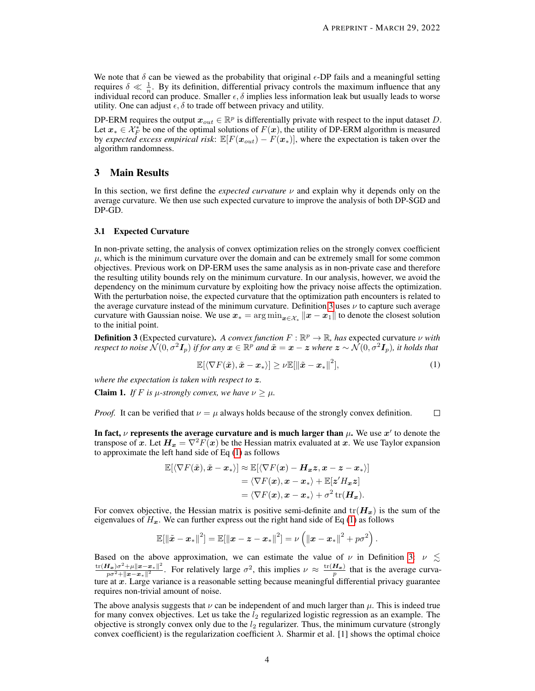We note that  $\delta$  can be viewed as the probability that original  $\epsilon$ -DP fails and a meaningful setting requires  $\delta \ll \frac{1}{n}$ . By its definition, differential privacy controls the maximum influence that any individual record can produce. Smaller  $\epsilon, \delta$  implies less information leak but usually leads to worse utility. One can adjust  $\epsilon$ ,  $\delta$  to trade off between privacy and utility.

DP-ERM requires the output  $x_{out} \in \mathbb{R}^p$  is differentially private with respect to the input dataset D. Let  $x_* \in \mathcal{X}_F^*$  be one of the optimal solutions of  $F(x)$ , the utility of DP-ERM algorithm is measured by *expected excess empirical risk*:  $\mathbb{E}[F(\mathbf{x}_{out}) - F(\mathbf{x}_{*})]$ , where the expectation is taken over the algorithm randomness.

## <span id="page-3-1"></span>3 Main Results

In this section, we first define the *expected curvature* ν and explain why it depends only on the average curvature. We then use such expected curvature to improve the analysis of both DP-SGD and DP-GD.

#### <span id="page-3-0"></span>3.1 Expected Curvature

In non-private setting, the analysis of convex optimization relies on the strongly convex coefficient  $\mu$ , which is the minimum curvature over the domain and can be extremely small for some common objectives. Previous work on DP-ERM uses the same analysis as in non-private case and therefore the resulting utility bounds rely on the minimum curvature. In our analysis, however, we avoid the dependency on the minimum curvature by exploiting how the privacy noise affects the optimization. With the perturbation noise, the expected curvature that the optimization path encounters is related to the average curvature instead of the minimum curvature. Definition [3](#page-3-2) uses  $\nu$  to capture such average curvature with Gaussian noise. We use  $x_* = \arg \min_{x \in \mathcal{X}_*} ||x - x_1||$  to denote the closest solution to the initial point.

<span id="page-3-2"></span>**Definition 3** (Expected curvature). A convex function  $F : \mathbb{R}^p \to \mathbb{R}$ , has expected curvature  $\nu$  with *respect to noise*  $\dot{\cal N}(0,\sigma^2I_p)$  *if for any*  $\bm x\in{\mathbb R}^p$  *and*  $\tilde{\bm x}=\bm x-\bm z$  *where*  $\bm z\sim\dot{\cal N}(0,\sigma^2I_p)$ *, it holds that* 

<span id="page-3-3"></span>
$$
\mathbb{E}[\langle \nabla F(\tilde{\boldsymbol{x}}), \tilde{\boldsymbol{x}} - \boldsymbol{x}_* \rangle] \ge \nu \mathbb{E}[\|\tilde{\boldsymbol{x}} - \boldsymbol{x}_*\|^2],\tag{1}
$$

*where the expectation is taken with respect to* z*.*

**Claim 1.** *If* F *is*  $\mu$ -strongly convex, we have  $\nu \geq \mu$ .

 $\Box$ *Proof.* It can be verified that  $\nu = \mu$  always holds because of the strongly convex definition.

In fact,  $\nu$  represents the average curvature and is much larger than  $\mu$ . We use  $\bm{x}'$  to denote the transpose of x. Let  $H_x = \nabla^2 F(x)$  be the Hessian matrix evaluated at x. We use Taylor expansion to approximate the left hand side of Eq [\(1\)](#page-3-3) as follows

$$
\mathbb{E}[\langle \nabla F(\tilde{\boldsymbol{x}}), \tilde{\boldsymbol{x}} - \boldsymbol{x}_* \rangle] \approx \mathbb{E}[\langle \nabla F(\boldsymbol{x}) - \boldsymbol{H}_{\boldsymbol{x}} \boldsymbol{z}, \boldsymbol{x} - \boldsymbol{z} - \boldsymbol{x}_* \rangle] \n= \langle \nabla F(\boldsymbol{x}), \boldsymbol{x} - \boldsymbol{x}_* \rangle + \mathbb{E}[\boldsymbol{z}' \boldsymbol{H}_{\boldsymbol{x}} \boldsymbol{z}] \n= \langle \nabla F(\boldsymbol{x}), \boldsymbol{x} - \boldsymbol{x}_* \rangle + \sigma^2 \operatorname{tr}(\boldsymbol{H}_{\boldsymbol{x}}).
$$

For convex objective, the Hessian matrix is positive semi-definite and  $tr(H_x)$  is the sum of the eigenvalues of  $H_x$ . We can further express out the right hand side of Eq [\(1\)](#page-3-3) as follows

$$
\mathbb{E}[\left\|\tilde{\bm x}-{\bm x}_*\right\|^2] = \mathbb{E}[\left\|{\bm x}-{\bm z}-{\bm x}_*\right\|^2] = \nu\left(\left\|{\bm x}-{\bm x}_*\right\|^2+p\sigma^2\right).
$$

Based on the above approximation, we can estimate the value of  $\nu$  in Definition [3:](#page-3-2)  $\nu \lesssim$  $\mathrm{tr}(\boldsymbol{H}_{\boldsymbol{x}})\sigma^2\!+\!\mu\|\boldsymbol{x}\!-\!\boldsymbol{x}_*\|^2$  $\frac{H_x}{p\sigma^2 + ||x-x_*||^2}$ . For relatively large  $\sigma^2$ , this implies  $\nu \approx \frac{\text{tr}(H_x)}{p}$  that is the average curvature at x. Large variance is a reasonable setting because meaningful differential privacy guarantee requires non-trivial amount of noise.

The above analysis suggests that  $\nu$  can be independent of and much larger than  $\mu$ . This is indeed true for many convex objectives. Let us take the  $l_2$  regularized logistic regression as an example. The objective is strongly convex only due to the  $l_2$  regularizer. Thus, the minimum curvature (strongly convex coefficient) is the regularization coefficient  $\lambda$ . Sharmir et al. [1] shows the optimal choice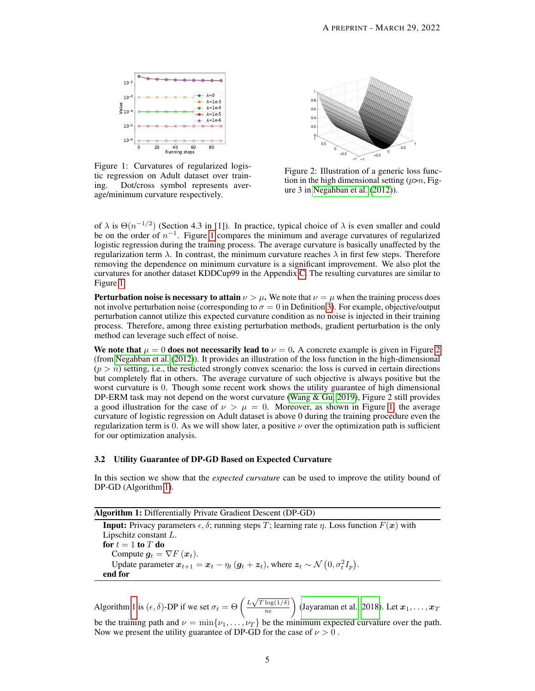<span id="page-4-0"></span>

Figure 1: Curvatures of regularized logistic regression on Adult dataset over training. Dot/cross symbol represents average/minimum curvature respectively.



Figure 2: Illustration of a generic loss function in the high dimensional setting  $(p>n$ , Figure 3 in [Negahban et al.](#page-10-11) [\(2012\)](#page-10-11)).

of  $\lambda$  is  $\Theta(n^{-1/2})$  (Section 4.3 in [1]). In practice, typical choice of  $\lambda$  is even smaller and could be on the order of  $n^{-1}$ . Figure [1](#page-4-0) compares the minimum and average curvatures of regularized logistic regression during the training process. The average curvature is basically unaffected by the regularization term  $\lambda$ . In contrast, the minimum curvature reaches  $\lambda$  in first few steps. Therefore removing the dependence on minimum curvature is a significant improvement. We also plot the curvatures for another dataset KDDCup99 in the Appendix [C.](#page-15-0) The resulting curvatures are similar to Figure [1.](#page-4-0)

**Perturbation noise is necessary to attain**  $\nu > \mu$ . We note that  $\nu = \mu$  when the training process does not involve perturbation noise (corresponding to  $\sigma = 0$  in Definition [3\)](#page-3-2). For example, objective/output perturbation cannot utilize this expected curvature condition as no noise is injected in their training process. Therefore, among three existing perturbation methods, gradient perturbation is the only method can leverage such effect of noise.

We note that  $\mu = 0$  does not necessarily lead to  $\nu = 0$ . A concrete example is given in Figure [2](#page-4-0) (from [Negahban et al.](#page-10-11) [\(2012\)](#page-10-11)). It provides an illustration of the loss function in the high-dimensional  $(p > n)$  setting, i.e., the resticted strongly convex scenario: the loss is curved in certain directions but completely flat in others. The average curvature of such objective is always positive but the worst curvature is 0. Though some recent work shows the utility guarantee of high dimensional DP-ERM task may not depend on the worst curvature [\(Wang & Gu, 2019\)](#page-10-7), Figure 2 still provides a good illustration for the case of  $\nu > \mu = 0$ . Moreover, as shown in Figure [1,](#page-4-0) the average curvature of logistic regression on Adult dataset is above 0 during the training procedure even the regularization term is 0. As we will show later, a positive  $\nu$  over the optimization path is sufficient for our optimization analysis.

## 3.2 Utility Guarantee of DP-GD Based on Expected Curvature

In this section we show that the *expected curvature* can be used to improve the utility bound of DP-GD (Algorithm [1\)](#page-4-1).

|  |  | <b>Algorithm 1:</b> Differentially Private Gradient Descent (DP-GD) |  |  |
|--|--|---------------------------------------------------------------------|--|--|
|--|--|---------------------------------------------------------------------|--|--|

<span id="page-4-1"></span>**Input:** Privacy parameters  $\epsilon$ ,  $\delta$ ; running steps T; learning rate  $\eta$ . Loss function  $F(x)$  with Lipschitz constant L. for  $t = 1$  to  $T$  do Compute  $g_t = \nabla F(x_t)$ . Update parameter  $x_{t+1} = x_t - \eta_t (g_t + z_t)$ , where  $z_t \sim \mathcal{N} (0, \sigma_t^2 I_p)$ . end for

Algorithm [1](#page-4-1) is  $(\epsilon, \delta)$ -DP if we set  $\sigma_t = \Theta\left(\frac{L\sqrt{T \log(1/\delta)}}{n\epsilon}\right)$  [\(Jayaraman et al., 2018\)](#page-9-12). Let  $x_1, \ldots, x_T$ be the training path and  $\nu = \min\{\nu_1, \dots, \nu_T\}$  be the minimum expected curvature over the path. Now we present the utility guarantee of DP-GD for the case of  $\nu > 0$ .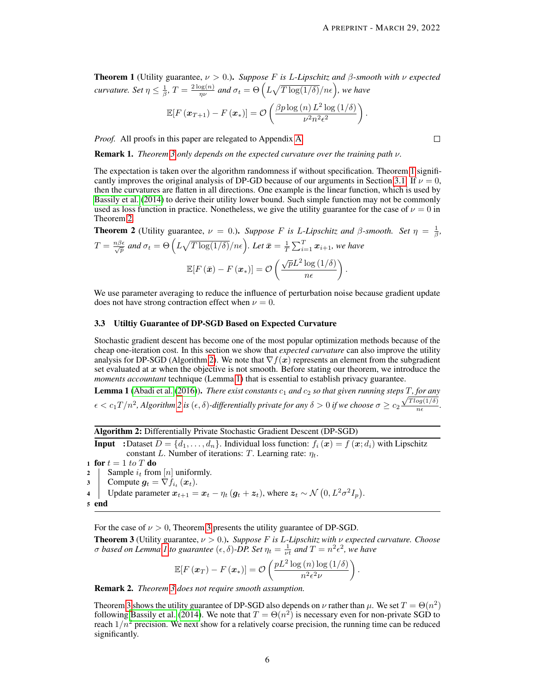.

 $\Box$ 

<span id="page-5-1"></span>**Theorem 1** (Utility guarantee,  $\nu > 0$ .). *Suppose F is L-Lipschitz and*  $\beta$ *-smooth with*  $\nu$  *expected curvature.* Set  $\eta \leq \frac{1}{\beta}$ ,  $T = \frac{2 \log(n)}{\eta \nu}$  $\frac{\log(n)}{n^{\nu}}$  and  $\sigma_t = \Theta\left(L\sqrt{T\log(1/\delta)}/n\epsilon\right)$ , we have

$$
\mathbb{E}[F(\boldsymbol{x}_{T+1}) - F(\boldsymbol{x}_*)] = \mathcal{O}\left(\frac{\beta p \log(n) L^2 \log(1/\delta)}{\nu^2 n^2 \epsilon^2}\right)
$$

*Proof.* All proofs in this paper are relegated to Appendix [A.](#page-11-0)

Remark 1. *Theorem [3](#page-5-0) only depends on the expected curvature over the training path* ν*.*

The expectation is taken over the algorithm randomness if without specification. Theorem [1](#page-5-1) signifi-cantly improves the original analysis of DP-GD because of our arguments in Section [3.1.](#page-3-0) If  $\nu = 0$ , then the curvatures are flatten in all directions. One example is the linear function, which is used by [Bassily et al.](#page-9-11) [\(2014\)](#page-9-11) to derive their utility lower bound. Such simple function may not be commonly used as loss function in practice. Nonetheless, we give the utility guarantee for the case of  $\nu = 0$  in Theorem [2.](#page-5-2)

<span id="page-5-2"></span>**Theorem 2** (Utility guarantee, 
$$
\nu = 0
$$
.). Suppose *F* is *L*-Lipschitz and  $\beta$ -smooth. Set  $\eta = \frac{1}{\beta}$ ,  
\n
$$
T = \frac{n\beta\epsilon}{\sqrt{p}} \text{ and } \sigma_t = \Theta\left(L\sqrt{T \log(1/\delta)}/n\epsilon\right). \text{ Let } \bar{x} = \frac{1}{T} \sum_{i=1}^T x_{i+1}, \text{ we have}
$$
\n
$$
\mathbb{E}[F(\bar{x}) - F(x_*)] = \mathcal{O}\left(\frac{\sqrt{p}L^2 \log(1/\delta)}{n\epsilon}\right).
$$

We use parameter averaging to reduce the influence of perturbation noise because gradient update does not have strong contraction effect when  $\nu = 0$ .

#### 3.3 Utiltiy Guarantee of DP-SGD Based on Expected Curvature

Stochastic gradient descent has become one of the most popular optimization methods because of the cheap one-iteration cost. In this section we show that *expected curvature* can also improve the utility analysis for DP-SGD (Algorithm [2\)](#page-5-3). We note that  $\nabla f(x)$  represents an element from the subgradient set evaluated at  $x$  when the objective is not smooth. Before stating our theorem, we introduce the *moments accountant* technique (Lemma [1\)](#page-5-4) that is essential to establish privacy guarantee.

<span id="page-5-4"></span>**Lemma 1** [\(Abadi et al.](#page-9-15) [\(2016\)](#page-9-15)). *There exist constants*  $c_1$  *and*  $c_2$  *so that given running steps*  $\overline{T}$ , *for any*  $\epsilon < c_1 T/n^2$ , Algorithm [2](#page-5-3) is  $(\epsilon, \delta)$ -differentially private for any  $\delta > 0$  if we choose  $\sigma \ge c_2 \frac{\sqrt{T \log(1/\delta)}}{n \epsilon}$  $\frac{\log(1/\theta)}{n\epsilon}$ .

Algorithm 2: Differentially Private Stochastic Gradient Descent (DP-SGD)

<span id="page-5-3"></span>**Input** :Dataset  $D = \{d_1, \ldots, d_n\}$ . Individual loss function:  $f_i(\boldsymbol{x}) = f(\boldsymbol{x}; d_i)$  with Lipschitz constant L. Number of iterations: T. Learning rate:  $\eta_t$ .

1 for  $t = 1$  to T do 2 | Sample  $i_t$  from  $[n]$  uniformly. 3 Compute  $g_t = \nabla f_{i_t}(x_t)$ . 4 Update parameter  $x_{t+1} = x_t - \eta_t (g_t + z_t)$ , where  $z_t \sim \mathcal{N}(0, L^2 \sigma^2 I_p)$ . <sup>5</sup> end

For the case of  $\nu > 0$ , Theorem [3](#page-5-0) presents the utility guarantee of DP-SGD.

<span id="page-5-0"></span>Theorem 3 (Utility guarantee, ν > 0.). *Suppose* F *is* L*-Lipschitz with* ν *expected curvature. Choose σ* based on Lemma *I* to guarantee  $(\epsilon, \delta)$ -DP. Set  $\eta_t = \frac{1}{\nu t}$  and  $T = n^2 \epsilon^2$ , we have

$$
\mathbb{E}[F(\boldsymbol{x}_T) - F(\boldsymbol{x}_*)] = \mathcal{O}\left(\frac{pL^2\log{(n)\log{(1/\delta)}}}{n^2\epsilon^2\nu}\right)
$$

.

Remark 2. *Theorem [3](#page-5-0) does not require smooth assumption.*

Theorem [3](#page-5-0) shows the utility guarantee of DP-SGD also depends on  $\nu$  rather than  $\mu$ . We set  $T = \Theta(n^2)$ following [Bassily et al.](#page-9-11) [\(2014\)](#page-9-11). We note that  $T = \Theta(n^2)$  is necessary even for non-private SGD to reach  $1/n^2$  precision. We next show for a relatively coarse precision, the running time can be reduced significantly.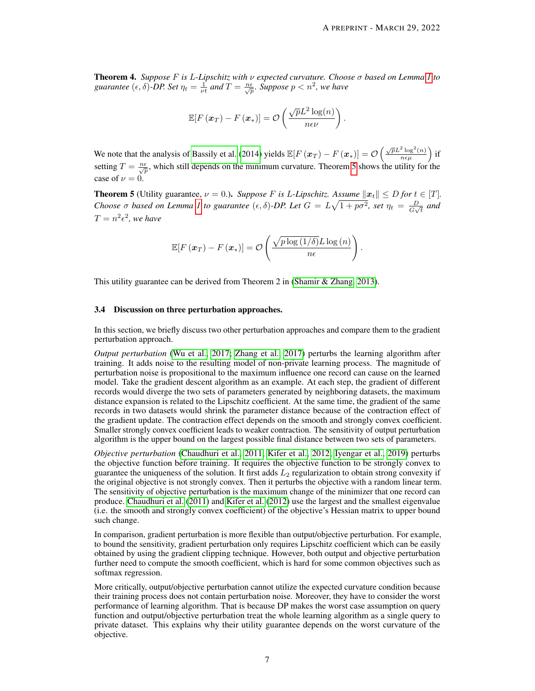<span id="page-6-1"></span>Theorem 4. *Suppose* F *is* L*-Lipschitz with* ν *expected curvature. Choose* σ *based on Lemma [1](#page-5-4) to* guarantee  $(\epsilon, \delta)$ -DP. Set  $\eta_t = \frac{1}{\nu t}$  and  $T = \frac{n\epsilon}{\sqrt{p}}$ . Suppose  $p < n^2$ , we have

$$
\mathbb{E}[F(\boldsymbol{x}_T) - F(\boldsymbol{x}_*)] = \mathcal{O}\left(\frac{\sqrt{p}L^2\log(n)}{n\epsilon\nu}\right).
$$

We note that the analysis of [Bassily et al.](#page-9-11) [\(2014\)](#page-9-11) yields  $\mathbb{E}[F(\boldsymbol{x}_T) - F(\boldsymbol{x}_*)] = \mathcal{O}\left(\frac{\sqrt{p}L^2\log^2(n)}{n\epsilon\mu}\right)$  if setting  $T = \frac{n\epsilon}{\sqrt{p}}$ , which still depends on the minimum curvature. Theorem [5](#page-6-0) shows the utility for the case of  $\nu = 0$ .

<span id="page-6-0"></span>**Theorem 5** (Utility guarantee,  $\nu = 0.$ ). *Suppose* F is L-Lipschitz. Assume  $||x_t|| \leq D$  for  $t \in [T]$ . *Choose*  $\sigma$  *based* on Lemma [1](#page-5-4) to guarantee  $(\epsilon, \delta)$ -DP. Let  $G = L\sqrt{1 + p\sigma^2}$ , set  $\eta_t = \frac{D}{G}$  $\frac{D}{G\sqrt{t}}$  and  $T = n^2 \epsilon^2$ , we have

$$
\mathbb{E}[F(\boldsymbol{x}_T) - F(\boldsymbol{x}_*)] = \mathcal{O}\left(\frac{\sqrt{p\log{(1/\delta)}}L\log{(n)}}{n\epsilon}\right).
$$

This utility guarantee can be derived from Theorem 2 in [\(Shamir & Zhang, 2013\)](#page-10-12).

#### 3.4 Discussion on three perturbation approaches.

In this section, we briefly discuss two other perturbation approaches and compare them to the gradient perturbation approach.

*Output perturbation* [\(Wu et al., 2017;](#page-10-3) [Zhang et al., 2017\)](#page-10-4) perturbs the learning algorithm after training. It adds noise to the resulting model of non-private learning process. The magnitude of perturbation noise is propositional to the maximum influence one record can cause on the learned model. Take the gradient descent algorithm as an example. At each step, the gradient of different records would diverge the two sets of parameters generated by neighboring datasets, the maximum distance expansion is related to the Lipschitz coefficient. At the same time, the gradient of the same records in two datasets would shrink the parameter distance because of the contraction effect of the gradient update. The contraction effect depends on the smooth and strongly convex coefficient. Smaller strongly convex coefficient leads to weaker contraction. The sensitivity of output perturbation algorithm is the upper bound on the largest possible final distance between two sets of parameters.

*Objective perturbation* [\(Chaudhuri et al., 2011;](#page-9-9) [Kifer et al., 2012;](#page-9-10) [Iyengar et al., 2019\)](#page-9-14) perturbs the objective function before training. It requires the objective function to be strongly convex to guarantee the uniqueness of the solution. It first adds  $L_2$  regularization to obtain strong convexity if the original objective is not strongly convex. Then it perturbs the objective with a random linear term. The sensitivity of objective perturbation is the maximum change of the minimizer that one record can produce. [Chaudhuri et al.](#page-9-9) [\(2011\)](#page-9-9) and [Kifer et al.](#page-9-10) [\(2012\)](#page-9-10) use the largest and the smallest eigenvalue (i.e. the smooth and strongly convex coefficient) of the objective's Hessian matrix to upper bound such change.

In comparison, gradient perturbation is more flexible than output/objective perturbation. For example, to bound the sensitivity, gradient perturbation only requires Lipschitz coefficient which can be easily obtained by using the gradient clipping technique. However, both output and objective perturbation further need to compute the smooth coefficient, which is hard for some common objectives such as softmax regression.

More critically, output/objective perturbation cannot utilize the expected curvature condition because their training process does not contain perturbation noise. Moreover, they have to consider the worst performance of learning algorithm. That is because DP makes the worst case assumption on query function and output/objective perturbation treat the whole learning algorithm as a single query to private dataset. This explains why their utility guarantee depends on the worst curvature of the objective.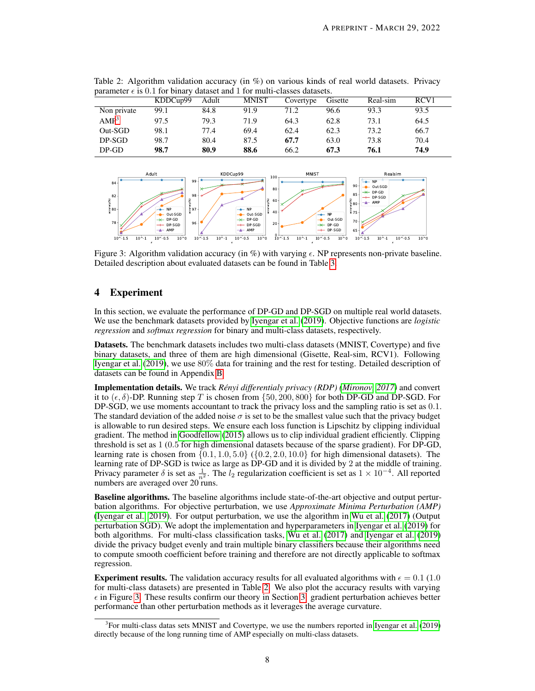| parameter can our rol omar j'annuove anno 2 rol marin viassors annuoves. |          |       |              |           |         |          |      |
|--------------------------------------------------------------------------|----------|-------|--------------|-----------|---------|----------|------|
|                                                                          | KDDCup99 | Adult | <b>MNIST</b> | Covertype | Gisette | Real-sim | RCV1 |
| Non private                                                              | 99.1     | 84.8  | 91.9         | 71.2      | 96.6    | 93.3     | 93.5 |
| AMP <sup>3</sup>                                                         | 97.5     | 79.3  | 71.9         | 64.3      | 62.8    | 73.1     | 64.5 |
| Out-SGD                                                                  | 98.1     | 77.4  | 69.4         | 62.4      | 62.3    | 73.2     | 66.7 |
| DP-SGD                                                                   | 98.7     | 80.4  | 87.5         | 67.7      | 63.0    | 73.8     | 70.4 |
| $DP-GD$                                                                  | 98.7     | 80.9  | 88.6         | 66.2      | 67.3    | 76.1     | 74.9 |

<span id="page-7-1"></span>Table 2: Algorithm validation accuracy (in %) on various kinds of real world datasets. Privacy parameter  $\epsilon$  is 0.1 for binary dataset and 1 for multi-classes datasets.

<span id="page-7-2"></span>

Figure 3: Algorithm validation accuracy (in %) with varying  $\epsilon$ . NP represents non-private baseline. Detailed description about evaluated datasets can be found in Table [3.](#page-15-1)

# <span id="page-7-0"></span>4 Experiment

In this section, we evaluate the performance of DP-GD and DP-SGD on multiple real world datasets. We use the benchmark datasets provided by [Iyengar et al.](#page-9-14) [\(2019\)](#page-9-14). Objective functions are *logistic regression* and *softmax regression* for binary and multi-class datasets, respectively.

Datasets. The benchmark datasets includes two multi-class datasets (MNIST, Covertype) and five binary datasets, and three of them are high dimensional (Gisette, Real-sim, RCV1). Following [Iyengar et al.](#page-9-14) [\(2019\)](#page-9-14), we use 80% data for training and the rest for testing. Detailed description of datasets can be found in Appendix [B](#page-15-2)

Implementation details. We track *Rényi differentialy privacy (RDP) [\(Mironov, 2017\)](#page-9-19)* and convert it to  $(\epsilon, \delta)$ -DP. Running step T is chosen from  $\{50, 200, 800\}$  for both DP-GD and DP-SGD. For DP-SGD, we use moments accountant to track the privacy loss and the sampling ratio is set as 0.1. The standard deviation of the added noise  $\sigma$  is set to be the smallest value such that the privacy budget is allowable to run desired steps. We ensure each loss function is Lipschitz by clipping individual gradient. The method in [Goodfellow](#page-9-20) [\(2015\)](#page-9-20) allows us to clip individual gradient efficiently. Clipping threshold is set as 1 (0.5 for high dimensional datasets because of the sparse gradient). For DP-GD, learning rate is chosen from  $\{0.1, 1.0, 5.0\}$   $(\{0.2, 2.0, 10.0\})$  for high dimensional datasets). The learning rate of DP-SGD is twice as large as DP-GD and it is divided by 2 at the middle of training. Privacy parameter  $\delta$  is set as  $\frac{1}{n^2}$ . The  $l_2$  regularization coefficient is set as  $1 \times 10^{-4}$ . All reported numbers are averaged over 20 runs.

Baseline algorithms. The baseline algorithms include state-of-the-art objective and output perturbation algorithms. For objective perturbation, we use *Approximate Minima Perturbation (AMP)* [\(Iyengar et al., 2019\)](#page-9-14). For output perturbation, we use the algorithm in [Wu et al.](#page-10-3) [\(2017\)](#page-10-3) (Output perturbation SGD). We adopt the implementation and hyperparameters in [Iyengar et al.](#page-9-14) [\(2019\)](#page-9-14) for both algorithms. For multi-class classification tasks, [Wu et al.](#page-10-3) [\(2017\)](#page-10-3) and [Iyengar et al.](#page-9-14) [\(2019\)](#page-9-14) divide the privacy budget evenly and train multiple binary classifiers because their algorithms need to compute smooth coefficient before training and therefore are not directly applicable to softmax regression.

**Experiment results.** The validation accuracy results for all evaluated algorithms with  $\epsilon = 0.1$  (1.0) for multi-class datasets) are presented in Table [2.](#page-7-1) We also plot the accuracy results with varying  $\epsilon$  in Figure [3.](#page-7-2) These results confirm our theory in Section [3:](#page-3-1) gradient perturbation achieves better performance than other perturbation methods as it leverages the average curvature.

<sup>&</sup>lt;sup>3</sup> For multi-class datas sets MNIST and Covertype, we use the numbers reported in [Iyengar et al.](#page-9-14) [\(2019\)](#page-9-14) directly because of the long running time of AMP especially on multi-class datasets.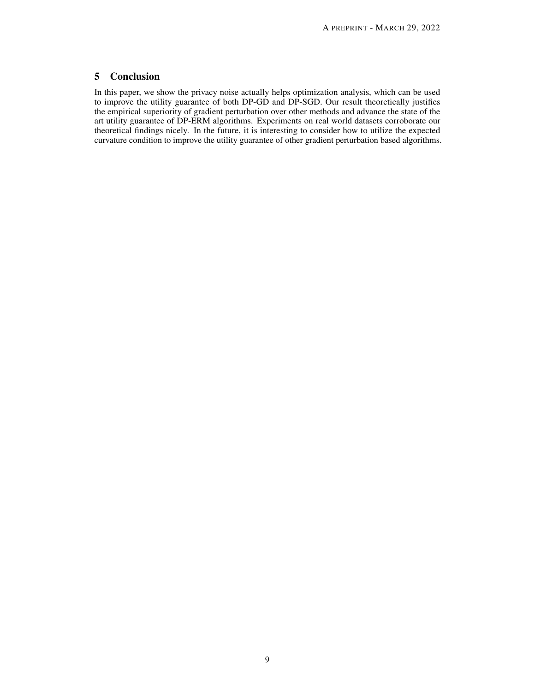# <span id="page-8-0"></span>5 Conclusion

In this paper, we show the privacy noise actually helps optimization analysis, which can be used to improve the utility guarantee of both DP-GD and DP-SGD. Our result theoretically justifies the empirical superiority of gradient perturbation over other methods and advance the state of the art utility guarantee of DP-ERM algorithms. Experiments on real world datasets corroborate our theoretical findings nicely. In the future, it is interesting to consider how to utilize the expected curvature condition to improve the utility guarantee of other gradient perturbation based algorithms.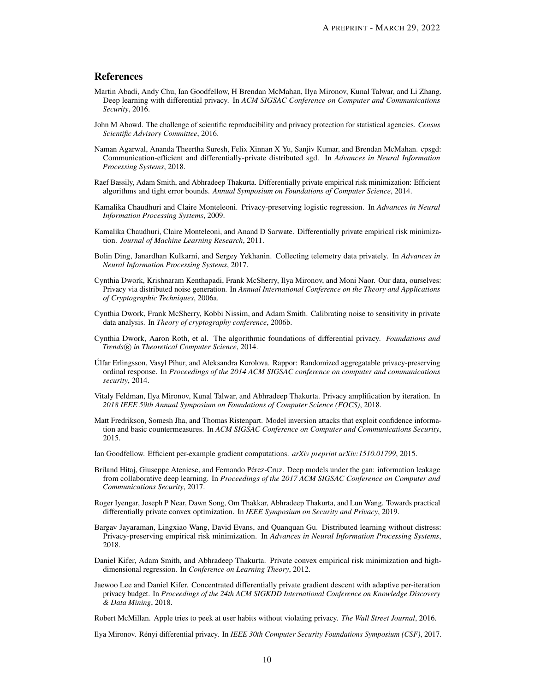## References

- <span id="page-9-15"></span>Martin Abadi, Andy Chu, Ian Goodfellow, H Brendan McMahan, Ilya Mironov, Kunal Talwar, and Li Zhang. Deep learning with differential privacy. In *ACM SIGSAC Conference on Computer and Communications Security*, 2016.
- <span id="page-9-6"></span>John M Abowd. The challenge of scientific reproducibility and privacy protection for statistical agencies. *Census Scientific Advisory Committee*, 2016.
- <span id="page-9-18"></span>Naman Agarwal, Ananda Theertha Suresh, Felix Xinnan X Yu, Sanjiv Kumar, and Brendan McMahan. cpsgd: Communication-efficient and differentially-private distributed sgd. In *Advances in Neural Information Processing Systems*, 2018.
- <span id="page-9-11"></span>Raef Bassily, Adam Smith, and Abhradeep Thakurta. Differentially private empirical risk minimization: Efficient algorithms and tight error bounds. *Annual Symposium on Foundations of Computer Science*, 2014.
- <span id="page-9-8"></span>Kamalika Chaudhuri and Claire Monteleoni. Privacy-preserving logistic regression. In *Advances in Neural Information Processing Systems*, 2009.
- <span id="page-9-9"></span>Kamalika Chaudhuri, Claire Monteleoni, and Anand D Sarwate. Differentially private empirical risk minimization. *Journal of Machine Learning Research*, 2011.
- <span id="page-9-7"></span>Bolin Ding, Janardhan Kulkarni, and Sergey Yekhanin. Collecting telemetry data privately. In *Advances in Neural Information Processing Systems*, 2017.
- <span id="page-9-2"></span>Cynthia Dwork, Krishnaram Kenthapadi, Frank McSherry, Ilya Mironov, and Moni Naor. Our data, ourselves: Privacy via distributed noise generation. In *Annual International Conference on the Theory and Applications of Cryptographic Techniques*, 2006a.
- <span id="page-9-3"></span>Cynthia Dwork, Frank McSherry, Kobbi Nissim, and Adam Smith. Calibrating noise to sensitivity in private data analysis. In *Theory of cryptography conference*, 2006b.
- <span id="page-9-17"></span>Cynthia Dwork, Aaron Roth, et al. The algorithmic foundations of differential privacy. *Foundations and Trends* <sup>R</sup> *in Theoretical Computer Science*, 2014.
- <span id="page-9-4"></span>Úlfar Erlingsson, Vasyl Pihur, and Aleksandra Korolova. Rappor: Randomized aggregatable privacy-preserving ordinal response. In *Proceedings of the 2014 ACM SIGSAC conference on computer and communications security*, 2014.
- <span id="page-9-13"></span>Vitaly Feldman, Ilya Mironov, Kunal Talwar, and Abhradeep Thakurta. Privacy amplification by iteration. In *2018 IEEE 59th Annual Symposium on Foundations of Computer Science (FOCS)*, 2018.
- <span id="page-9-0"></span>Matt Fredrikson, Somesh Jha, and Thomas Ristenpart. Model inversion attacks that exploit confidence information and basic countermeasures. In *ACM SIGSAC Conference on Computer and Communications Security*, 2015.
- <span id="page-9-20"></span>Ian Goodfellow. Efficient per-example gradient computations. *arXiv preprint arXiv:1510.01799*, 2015.
- <span id="page-9-1"></span>Briland Hitaj, Giuseppe Ateniese, and Fernando Pérez-Cruz. Deep models under the gan: information leakage from collaborative deep learning. In *Proceedings of the 2017 ACM SIGSAC Conference on Computer and Communications Security*, 2017.
- <span id="page-9-14"></span>Roger Iyengar, Joseph P Near, Dawn Song, Om Thakkar, Abhradeep Thakurta, and Lun Wang. Towards practical differentially private convex optimization. In *IEEE Symposium on Security and Privacy*, 2019.
- <span id="page-9-12"></span>Bargav Jayaraman, Lingxiao Wang, David Evans, and Quanquan Gu. Distributed learning without distress: Privacy-preserving empirical risk minimization. In *Advances in Neural Information Processing Systems*, 2018.
- <span id="page-9-10"></span>Daniel Kifer, Adam Smith, and Abhradeep Thakurta. Private convex empirical risk minimization and highdimensional regression. In *Conference on Learning Theory*, 2012.
- <span id="page-9-16"></span>Jaewoo Lee and Daniel Kifer. Concentrated differentially private gradient descent with adaptive per-iteration privacy budget. In *Proceedings of the 24th ACM SIGKDD International Conference on Knowledge Discovery & Data Mining*, 2018.

<span id="page-9-5"></span>Robert McMillan. Apple tries to peek at user habits without violating privacy. *The Wall Street Journal*, 2016.

<span id="page-9-19"></span>Ilya Mironov. Rényi differential privacy. In *IEEE 30th Computer Security Foundations Symposium (CSF)*, 2017.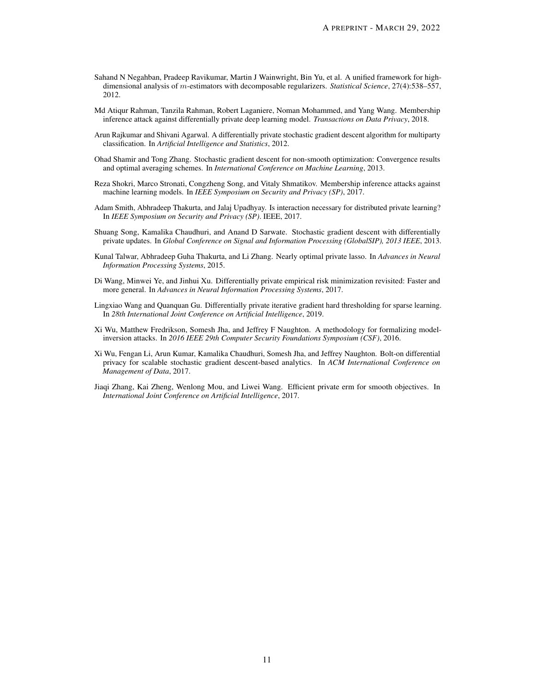- <span id="page-10-11"></span>Sahand N Negahban, Pradeep Ravikumar, Martin J Wainwright, Bin Yu, et al. A unified framework for highdimensional analysis of m-estimators with decomposable regularizers. *Statistical Science*, 27(4):538–557, 2012.
- <span id="page-10-8"></span>Md Atiqur Rahman, Tanzila Rahman, Robert Laganiere, Noman Mohammed, and Yang Wang. Membership inference attack against differentially private deep learning model. *Transactions on Data Privacy*, 2018.
- <span id="page-10-10"></span>Arun Rajkumar and Shivani Agarwal. A differentially private stochastic gradient descent algorithm for multiparty classification. In *Artificial Intelligence and Statistics*, 2012.
- <span id="page-10-12"></span>Ohad Shamir and Tong Zhang. Stochastic gradient descent for non-smooth optimization: Convergence results and optimal averaging schemes. In *International Conference on Machine Learning*, 2013.
- <span id="page-10-1"></span>Reza Shokri, Marco Stronati, Congzheng Song, and Vitaly Shmatikov. Membership inference attacks against machine learning models. In *IEEE Symposium on Security and Privacy (SP)*, 2017.
- <span id="page-10-6"></span>Adam Smith, Abhradeep Thakurta, and Jalaj Upadhyay. Is interaction necessary for distributed private learning? In *IEEE Symposium on Security and Privacy (SP)*. IEEE, 2017.
- <span id="page-10-9"></span>Shuang Song, Kamalika Chaudhuri, and Anand D Sarwate. Stochastic gradient descent with differentially private updates. In *Global Conference on Signal and Information Processing (GlobalSIP), 2013 IEEE*, 2013.
- <span id="page-10-2"></span>Kunal Talwar, Abhradeep Guha Thakurta, and Li Zhang. Nearly optimal private lasso. In *Advances in Neural Information Processing Systems*, 2015.
- <span id="page-10-5"></span>Di Wang, Minwei Ye, and Jinhui Xu. Differentially private empirical risk minimization revisited: Faster and more general. In *Advances in Neural Information Processing Systems*, 2017.
- <span id="page-10-7"></span>Lingxiao Wang and Quanquan Gu. Differentially private iterative gradient hard thresholding for sparse learning. In *28th International Joint Conference on Artificial Intelligence*, 2019.
- <span id="page-10-0"></span>Xi Wu, Matthew Fredrikson, Somesh Jha, and Jeffrey F Naughton. A methodology for formalizing modelinversion attacks. In *2016 IEEE 29th Computer Security Foundations Symposium (CSF)*, 2016.
- <span id="page-10-3"></span>Xi Wu, Fengan Li, Arun Kumar, Kamalika Chaudhuri, Somesh Jha, and Jeffrey Naughton. Bolt-on differential privacy for scalable stochastic gradient descent-based analytics. In *ACM International Conference on Management of Data*, 2017.
- <span id="page-10-4"></span>Jiaqi Zhang, Kai Zheng, Wenlong Mou, and Liwei Wang. Efficient private erm for smooth objectives. In *International Joint Conference on Artificial Intelligence*, 2017.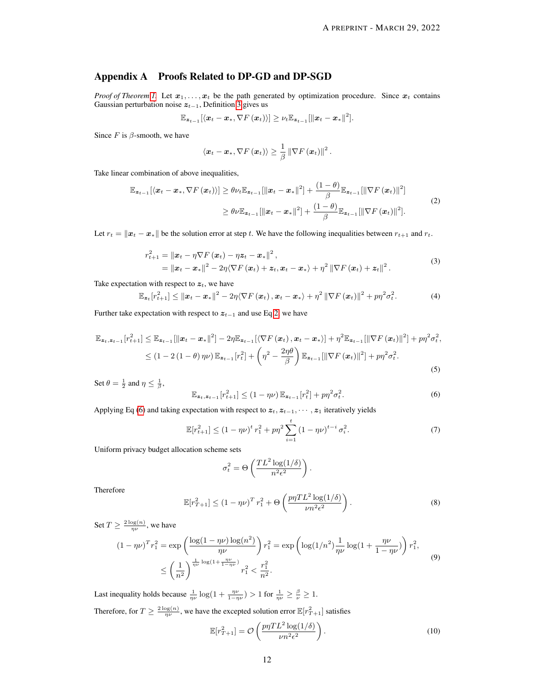# <span id="page-11-0"></span>Appendix A Proofs Related to DP-GD and DP-SGD

*Proof of Theorem [1.](#page-5-1)* Let  $x_1, \ldots, x_t$  be the path generated by optimization procedure. Since  $x_t$  contains Gaussian perturbation noise  $z_{t-1}$ , Definition [3](#page-3-2) gives us

$$
\mathbb{E}_{\boldsymbol{z}_{t-1}}[\langle \boldsymbol{x}_t-\boldsymbol{x}_*, \nabla F(\boldsymbol{x}_t)\rangle] \geq \nu_t \mathbb{E}_{\boldsymbol{z}_{t-1}}[\|\boldsymbol{x}_t-\boldsymbol{x}_*\|^2].
$$

Since  $F$  is  $\beta$ -smooth, we have

<span id="page-11-1"></span>
$$
\left\langle \boldsymbol{x}_{t}-\boldsymbol{x}_{*},\nabla F\left(\boldsymbol{x}_{t}\right)\right\rangle \geq\frac{1}{\beta}\left\Vert \nabla F\left(\boldsymbol{x}_{t}\right)\right\Vert ^{2}.
$$

Take linear combination of above inequalities,

$$
\mathbb{E}_{\mathbf{z}_{t-1}}[\langle \mathbf{x}_t - \mathbf{x}_*, \nabla F(\mathbf{x}_t) \rangle] \geq \theta \nu_t \mathbb{E}_{\mathbf{z}_{t-1}}[\|\mathbf{x}_t - \mathbf{x}_*\|^2] + \frac{(1-\theta)}{\beta} \mathbb{E}_{\mathbf{z}_{t-1}}[\|\nabla F(\mathbf{x}_t)\|^2]
$$
\n
$$
\geq \theta \nu \mathbb{E}_{\mathbf{z}_{t-1}}[\|\mathbf{x}_t - \mathbf{x}_*\|^2] + \frac{(1-\theta)}{\beta} \mathbb{E}_{\mathbf{z}_{t-1}}[\|\nabla F(\mathbf{x}_t)\|^2].
$$
\n(2)

Let  $r_t = ||x_t - x_*||$  be the solution error at step t. We have the following inequalities between  $r_{t+1}$  and  $r_t$ .

$$
r_{t+1}^{2} = \|\boldsymbol{x}_{t} - \eta \nabla F(\boldsymbol{x}_{t}) - \eta \boldsymbol{z}_{t} - \boldsymbol{x}_{*}\|^{2},
$$
  
= 
$$
\|\boldsymbol{x}_{t} - \boldsymbol{x}_{*}\|^{2} - 2\eta \langle \nabla F(\boldsymbol{x}_{t}) + \boldsymbol{z}_{t}, \boldsymbol{x}_{t} - \boldsymbol{x}_{*} \rangle + \eta^{2} \|\nabla F(\boldsymbol{x}_{t}) + \boldsymbol{z}_{t}\|^{2}.
$$
 (3)

Take expectation with respect to  $z_t$ , we have

$$
\mathbb{E}_{\boldsymbol{z}_t}[r_{t+1}^2] \leq ||\boldsymbol{x}_t - \boldsymbol{x}_*||^2 - 2\eta \langle \nabla F(\boldsymbol{x}_t), \boldsymbol{x}_t - \boldsymbol{x}_* \rangle + \eta^2 ||\nabla F(\boldsymbol{x}_t)||^2 + p\eta^2 \sigma_t^2. \tag{4}
$$

Further take expectation with respect to  $z_{t-1}$  and use Eq [2,](#page-11-1) we have

$$
\mathbb{E}_{\mathbf{z}_t, \mathbf{z}_{t-1}}[r_{t+1}^2] \leq \mathbb{E}_{\mathbf{z}_{t-1}}[\|\mathbf{x}_t - \mathbf{x}_*\|^2] - 2\eta \mathbb{E}_{\mathbf{z}_{t-1}}[\langle \nabla F(\mathbf{x}_t), \mathbf{x}_t - \mathbf{x}_* \rangle] + \eta^2 \mathbb{E}_{\mathbf{z}_{t-1}}[\|\nabla F(\mathbf{x}_t)\|^2] + p\eta^2 \sigma_t^2,
$$
  
\n
$$
\leq (1 - 2(1 - \theta)\eta\nu) \mathbb{E}_{\mathbf{z}_{t-1}}[r_t^2] + \left(\eta^2 - \frac{2\eta\theta}{\beta}\right) \mathbb{E}_{\mathbf{z}_{t-1}}[\|\nabla F(\mathbf{x}_t)\|^2] + p\eta^2 \sigma_t^2.
$$
\n(5)

Set  $\theta = \frac{1}{2}$  and  $\eta \leq \frac{1}{\beta}$ ,

<span id="page-11-2"></span>
$$
\mathbb{E}_{\mathbf{z}_t, \mathbf{z}_{t-1}}[r_{t+1}^2] \le (1 - \eta \nu) \mathbb{E}_{\mathbf{z}_{t-1}}[r_t^2] + p \eta^2 \sigma_t^2.
$$
 (6)

Applying Eq [\(6\)](#page-11-2) and taking expectation with respect to  $z_t, z_{t-1}, \dots, z_1$  iteratively yields

$$
\mathbb{E}[r_{t+1}^2] \le (1 - \eta \nu)^t r_1^2 + p \eta^2 \sum_{i=1}^t (1 - \eta \nu)^{t-i} \sigma_i^2.
$$
 (7)

Uniform privacy budget allocation scheme sets

$$
\sigma_t^2 = \Theta\left(\frac{TL^2\log(1/\delta)}{n^2\epsilon^2}\right).
$$

Therefore

$$
\mathbb{E}[r_{T+1}^2] \le (1 - \eta \nu)^T r_1^2 + \Theta\left(\frac{p\eta T L^2 \log(1/\delta)}{\nu n^2 \epsilon^2}\right). \tag{8}
$$

Set  $T \ge \frac{2 \log(n)}{n\nu}$ , we have

$$
(1 - \eta \nu)^{T} r_{1}^{2} = \exp\left(\frac{\log(1 - \eta \nu) \log(n^{2})}{\eta \nu}\right) r_{1}^{2} = \exp\left(\log(1/n^{2}) \frac{1}{\eta \nu} \log(1 + \frac{\eta \nu}{1 - \eta \nu})\right) r_{1}^{2},
$$
  

$$
\leq \left(\frac{1}{n^{2}}\right)^{\frac{1}{\eta \nu} \log(1 + \frac{\eta \nu}{1 - \eta \nu})} r_{1}^{2} < \frac{r_{1}^{2}}{n^{2}}.
$$
 (9)

Last inequality holds because  $\frac{1}{\eta \nu} \log(1 + \frac{\eta \nu}{1 - \eta \nu}) > 1$  for  $\frac{1}{\eta \nu} \ge \frac{\beta}{\nu} \ge 1$ . Therefore, for  $T \ge \frac{2 \log(n)}{n \nu}$ , we have the excepted solution error  $\mathbb{E}[r_{T+1}^2]$  satisfies

<span id="page-11-3"></span>
$$
\mathbb{E}[r_{T+1}^2] = \mathcal{O}\left(\frac{p\eta T L^2 \log(1/\delta)}{\nu n^2 \epsilon^2}\right). \tag{10}
$$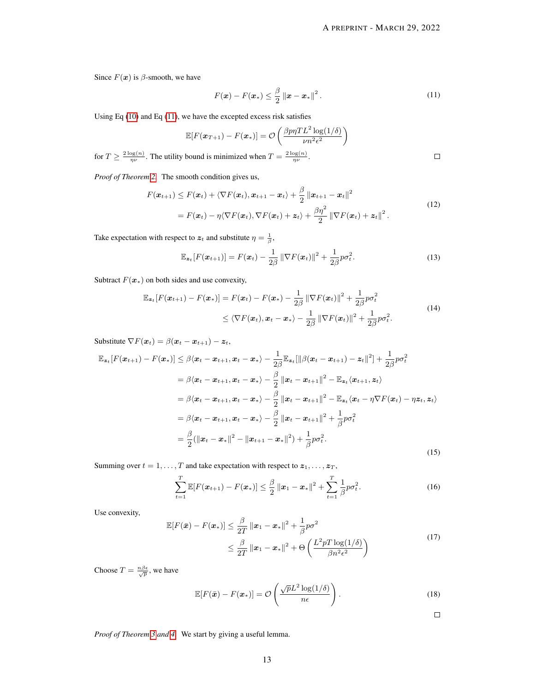Since  $F(x)$  is  $\beta$ -smooth, we have

<span id="page-12-0"></span>
$$
F(\boldsymbol{x}) - F(\boldsymbol{x}_*) \leq \frac{\beta}{2} ||\boldsymbol{x} - \boldsymbol{x}_*||^2.
$$
 (11)

Using Eq  $(10)$  and Eq  $(11)$ , we have the excepted excess risk satisfies

$$
\mathbb{E}[F(\boldsymbol{x}_{T+1}) - F(\boldsymbol{x}_{*})] = \mathcal{O}\left(\frac{\beta p \eta T L^{2} \log(1/\delta)}{\nu n^{2} \epsilon^{2}}\right)
$$
  
for  $T \ge \frac{2 \log(n)}{n\nu}$ . The utility bound is minimized when  $T = \frac{2 \log(n)}{n\nu}$ .

*Proof of Theorem [2.](#page-5-2)* The smooth condition gives us,

$$
F(\boldsymbol{x}_{t+1}) \leq F(\boldsymbol{x}_t) + \langle \nabla F(\boldsymbol{x}_t), \boldsymbol{x}_{t+1} - \boldsymbol{x}_t \rangle + \frac{\beta}{2} ||\boldsymbol{x}_{t+1} - \boldsymbol{x}_t||^2
$$
  
=  $F(\boldsymbol{x}_t) - \eta \langle \nabla F(\boldsymbol{x}_t), \nabla F(\boldsymbol{x}_t) + \boldsymbol{z}_t \rangle + \frac{\beta \eta^2}{2} ||\nabla F(\boldsymbol{x}_t) + \boldsymbol{z}_t||^2$ . (12)

Take expectation with respect to  $z_t$  and substitute  $\eta = \frac{1}{\beta}$ ,

$$
\mathbb{E}_{\mathbf{z}_t}[F(\boldsymbol{x}_{t+1})] = F(\boldsymbol{x}_t) - \frac{1}{2\beta} \|\nabla F(\boldsymbol{x}_t)\|^2 + \frac{1}{2\beta} p \sigma_t^2.
$$
 (13)

Subtract  $F(\mathbf{x}_*)$  on both sides and use convexity,

$$
\mathbb{E}_{\mathbf{z}_t}[F(\mathbf{x}_{t+1}) - F(\mathbf{x}_*)] = F(\mathbf{x}_t) - F(\mathbf{x}_*) - \frac{1}{2\beta} \|\nabla F(\mathbf{x}_t)\|^2 + \frac{1}{2\beta} p\sigma_t^2
$$
\n
$$
\leq \langle \nabla F(\mathbf{x}_t), \mathbf{x}_t - \mathbf{x}_* \rangle - \frac{1}{2\beta} \|\nabla F(\mathbf{x}_t)\|^2 + \frac{1}{2\beta} p\sigma_t^2.
$$
\n(14)

Substitute  $\nabla F(\boldsymbol{x}_t) = \beta(\boldsymbol{x}_t - \boldsymbol{x}_{t+1}) - \boldsymbol{z}_t$ ,

$$
\mathbb{E}_{\mathbf{z}_t}[F(\mathbf{x}_{t+1}) - F(\mathbf{x}_*)] \leq \beta \langle \mathbf{x}_t - \mathbf{x}_{t+1}, \mathbf{x}_t - \mathbf{x}_* \rangle - \frac{1}{2\beta} \mathbb{E}_{\mathbf{z}_t}[\|\beta(\mathbf{x}_t - \mathbf{x}_{t+1}) - \mathbf{z}_t\|^2] + \frac{1}{2\beta} p \sigma_t^2
$$
\n
$$
= \beta \langle \mathbf{x}_t - \mathbf{x}_{t+1}, \mathbf{x}_t - \mathbf{x}_* \rangle - \frac{\beta}{2} ||\mathbf{x}_t - \mathbf{x}_{t+1}||^2 - \mathbb{E}_{\mathbf{z}_t} \langle \mathbf{x}_{t+1}, \mathbf{z}_t \rangle
$$
\n
$$
= \beta \langle \mathbf{x}_t - \mathbf{x}_{t+1}, \mathbf{x}_t - \mathbf{x}_* \rangle - \frac{\beta}{2} ||\mathbf{x}_t - \mathbf{x}_{t+1}||^2 - \mathbb{E}_{\mathbf{z}_t} \langle \mathbf{x}_t - \eta \nabla F(\mathbf{x}_t) - \eta \mathbf{z}_t, \mathbf{z}_t \rangle
$$
\n
$$
= \beta \langle \mathbf{x}_t - \mathbf{x}_{t+1}, \mathbf{x}_t - \mathbf{x}_* \rangle - \frac{\beta}{2} ||\mathbf{x}_t - \mathbf{x}_{t+1}||^2 + \frac{1}{\beta} p \sigma_t^2
$$
\n
$$
= \frac{\beta}{2} (||\mathbf{x}_t - \mathbf{x}_*||^2 - ||\mathbf{x}_{t+1} - \mathbf{x}_*||^2) + \frac{1}{\beta} p \sigma_t^2.
$$
\n(15)

Summing over  $t = 1, \ldots, T$  and take expectation with respect to  $z_1, \ldots, z_T$ ,

$$
\sum_{t=1}^{T} \mathbb{E}[F(\boldsymbol{x}_{t+1}) - F(\boldsymbol{x}_*)] \leq \frac{\beta}{2} ||\boldsymbol{x}_1 - \boldsymbol{x}_*||^2 + \sum_{t=1}^{T} \frac{1}{\beta} p \sigma_t^2.
$$
 (16)

Use convexity,

$$
\mathbb{E}[F(\bar{\boldsymbol{x}}) - F(\boldsymbol{x}_*)] \leq \frac{\beta}{2T} ||\boldsymbol{x}_1 - \boldsymbol{x}_*||^2 + \frac{1}{\beta} p \sigma^2
$$
  

$$
\leq \frac{\beta}{2T} ||\boldsymbol{x}_1 - \boldsymbol{x}_*||^2 + \Theta\left(\frac{L^2 p T \log(1/\delta)}{\beta n^2 \epsilon^2}\right)
$$
 (17)

Choose  $T = \frac{n\beta\epsilon}{\sqrt{p}}$ , we have

$$
\mathbb{E}[F(\bar{\boldsymbol{x}}) - F(\boldsymbol{x}_*)] = \mathcal{O}\left(\frac{\sqrt{p}L^2\log(1/\delta)}{n\epsilon}\right).
$$
\n(18)

 $\Box$ 

*Proof of Theorem [3](#page-5-0) and [4.](#page-6-1)* We start by giving a useful lemma.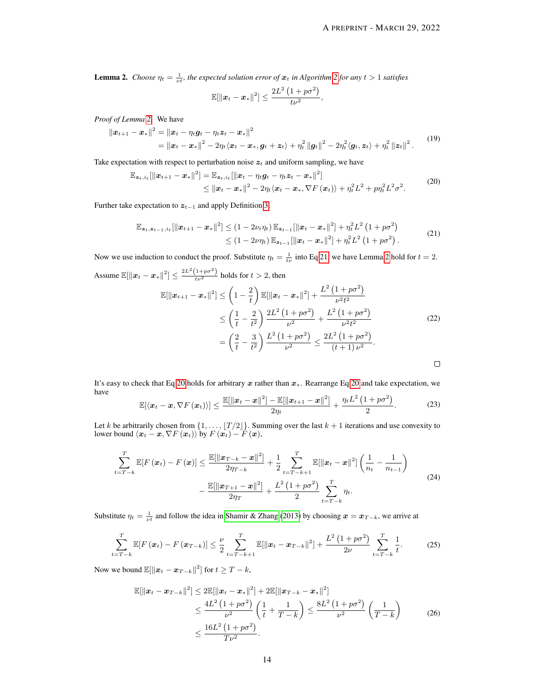<span id="page-13-0"></span>**Lemma [2](#page-5-3).** *Choose*  $\eta_t = \frac{1}{\nu t}$ , the expected solution error of  $x_t$  in Algorithm 2 for any  $t > 1$  satisfies

$$
\mathbb{E}[\|\boldsymbol{x}_t-\boldsymbol{x}_*\|^2] \leq \frac{2L^2\left(1+p\sigma^2\right)}{t\nu^2}
$$

*Proof of Lemma [2.](#page-13-0)* We have

$$
\|\boldsymbol{x}_{t+1} - \boldsymbol{x}_*\|^2 = \|\boldsymbol{x}_t - \eta_t \boldsymbol{g}_t - \eta_t \boldsymbol{z}_t - \boldsymbol{x}_*\|^2
$$
  
=  $\|\boldsymbol{x}_t - \boldsymbol{x}_*\|^2 - 2\eta_t \langle \boldsymbol{x}_t - \boldsymbol{x}_*, \boldsymbol{g}_t + \boldsymbol{z}_t \rangle + \eta_t^2 \|\boldsymbol{g}_t\|^2 - 2\eta_t^2 \langle \boldsymbol{g}_t, \boldsymbol{z}_t \rangle + \eta_t^2 \|\boldsymbol{z}_t\|^2.$  (19)

<span id="page-13-2"></span>,

Take expectation with respect to perturbation noise  $z_t$  and uniform sampling, we have

$$
\mathbb{E}_{\mathbf{z}_t, i_t}[\|\mathbf{x}_{t+1} - \mathbf{x}_*\|^2] = \mathbb{E}_{\mathbf{z}_t, i_t}[\|\mathbf{x}_t - \eta_t \mathbf{g}_t - \eta_t \mathbf{z}_t - \mathbf{x}_*\|^2]
$$
\n
$$
\leq \|\mathbf{x}_t - \mathbf{x}_*\|^2 - 2\eta_t \langle \mathbf{x}_t - \mathbf{x}_*, \nabla F(\mathbf{x}_t) \rangle + \eta_t^2 L^2 + p \eta_t^2 L^2 \sigma^2. \tag{20}
$$

<span id="page-13-1"></span>Further take expectation to  $z_{t-1}$  and apply Definition [3,](#page-3-2)

$$
\mathbb{E}_{\mathbf{z}_t, \mathbf{z}_{t-1}, i_t}[\|\mathbf{x}_{t+1} - \mathbf{x}_*\|^2] \leq (1 - 2\nu_t \eta_t) \mathbb{E}_{\mathbf{z}_{t-1}}[\|\mathbf{x}_t - \mathbf{x}_*\|^2] + \eta_t^2 L^2 (1 + p\sigma^2) \n\leq (1 - 2\nu_t \mathbb{E}_{\mathbf{z}_{t-1}}[\|\mathbf{x}_t - \mathbf{x}_*\|^2] + \eta_t^2 L^2 (1 + p\sigma^2).
$$
\n(21)

Now we use induction to conduct the proof. Substitute  $\eta_t = \frac{1}{t\nu}$  into Eq [21,](#page-13-1) we have Lemma [2](#page-13-0) hold for  $t = 2$ .

Assume 
$$
\mathbb{E}[\|\boldsymbol{x}_t - \boldsymbol{x}_*\|^2] \le \frac{2L^2(1 + p\sigma^2)}{t\nu^2}
$$
 holds for  $t > 2$ , then

$$
\mathbb{E}[\|\boldsymbol{x}_{t+1} - \boldsymbol{x}_*\|^2] \leq \left(1 - \frac{2}{t}\right) \mathbb{E}[\|\boldsymbol{x}_t - \boldsymbol{x}_*\|^2] + \frac{L^2 \left(1 + p\sigma^2\right)}{\nu^2 t^2} \n\leq \left(\frac{1}{t} - \frac{2}{t^2}\right) \frac{2L^2 \left(1 + p\sigma^2\right)}{\nu^2} + \frac{L^2 \left(1 + p\sigma^2\right)}{\nu^2 t^2} \n= \left(\frac{2}{t} - \frac{3}{t^2}\right) \frac{L^2 \left(1 + p\sigma^2\right)}{\nu^2} \leq \frac{2L^2 \left(1 + p\sigma^2\right)}{\left(t + 1\right) \nu^2}.
$$
\n(22)

It's easy to check that Eq [20](#page-13-2) holds for arbitrary x rather than x∗. Rearrange Eq [20](#page-13-2) and take expectation, we have  $\alpha$  $\overline{2}$ 

$$
\mathbb{E}[\langle \boldsymbol{x}_t-\boldsymbol{x}, \nabla F(\boldsymbol{x}_t)\rangle] \leq \frac{\mathbb{E}[\|\boldsymbol{x}_t-\boldsymbol{x}\|^2] - \mathbb{E}[\|\boldsymbol{x}_{t+1}-\boldsymbol{x}\|^2]}{2\eta_t} + \frac{\eta_t L^2 (1 + p\sigma^2)}{2}.
$$
 (23)

<span id="page-13-5"></span>Let k be arbitrarily chosen from  $\{1, \ldots, |T/2|\}$ . Summing over the last  $k + 1$  iterations and use convexity to lower bound  $\langle x_t - x, \nabla F(x_t) \rangle$  by  $F(x_t) - F(x)$ ,

$$
\sum_{t=T-k}^{T} \mathbb{E}[F(\boldsymbol{x}_t) - F(\boldsymbol{x})] \le \frac{\mathbb{E}[\|\boldsymbol{x}_{T-k} - \boldsymbol{x}\|^2]}{2\eta_{T-k}} + \frac{1}{2} \sum_{t=T-k+1}^{T} \mathbb{E}[\|\boldsymbol{x}_t - \boldsymbol{x}\|^2] \left(\frac{1}{n_t} - \frac{1}{n_{t-1}}\right) - \frac{\mathbb{E}[\|\boldsymbol{x}_{T+1} - \boldsymbol{x}\|^2]}{2\eta_{T}} + \frac{L^2 (1 + p\sigma^2)}{2} \sum_{t=T-k}^{T} \eta_{t}.
$$
\n(24)

<span id="page-13-4"></span>Substitute  $\eta_t = \frac{1}{\nu t}$  and follow the idea in [Shamir & Zhang](#page-10-12) [\(2013\)](#page-10-12) by choosing  $x = x_{T-k}$ , we arrive at

$$
\sum_{t=T-k}^{T} \mathbb{E}[F(\boldsymbol{x}_t) - F(\boldsymbol{x}_{T-k})] \leq \frac{\nu}{2} \sum_{t=T-k+1}^{T} \mathbb{E}[\|\boldsymbol{x}_t - \boldsymbol{x}_{T-k}\|^2] + \frac{L^2(1+p\sigma^2)}{2\nu} \sum_{t=T-k}^{T} \frac{1}{t}.
$$
 (25)

<span id="page-13-3"></span>Now we bound  $\mathbb{E}[\|\boldsymbol{x}_t - \boldsymbol{x}_{T-k}\|^2]$  for  $t \geq T - k$ ,

$$
\mathbb{E}[\|\boldsymbol{x}_{t} - \boldsymbol{x}_{T-k}\|^{2}] \leq 2\mathbb{E}[\|\boldsymbol{x}_{t} - \boldsymbol{x}_{*}\|^{2}] + 2\mathbb{E}[\|\boldsymbol{x}_{T-k} - \boldsymbol{x}_{*}\|^{2}] \n\leq \frac{4L^{2} (1 + p\sigma^{2})}{\nu^{2}} \left(\frac{1}{t} + \frac{1}{T-k}\right) \leq \frac{8L^{2} (1 + p\sigma^{2})}{\nu^{2}} \left(\frac{1}{T-k}\right) \n\leq \frac{16L^{2} (1 + p\sigma^{2})}{T\nu^{2}}.
$$
\n(26)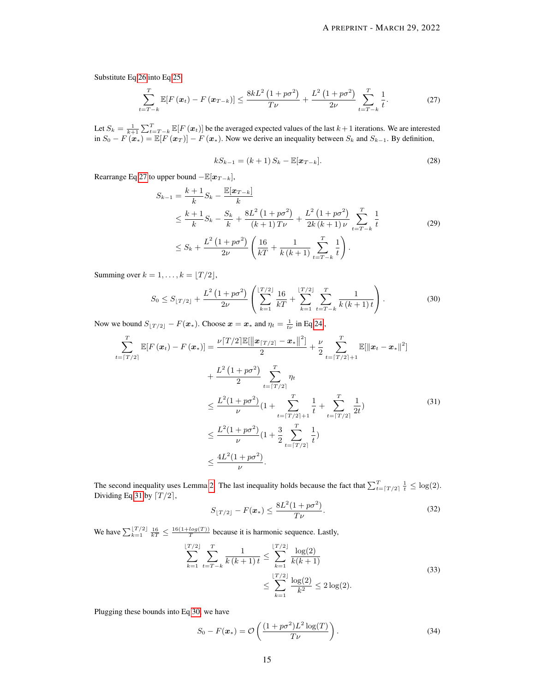Substitute Eq [26](#page-13-3) into Eq [25,](#page-13-4)

<span id="page-14-0"></span>
$$
\sum_{t=T-k}^{T} \mathbb{E}[F(\boldsymbol{x}_t) - F(\boldsymbol{x}_{T-k})] \le \frac{8kL^2\left(1 + p\sigma^2\right)}{T\nu} + \frac{L^2\left(1 + p\sigma^2\right)}{2\nu} \sum_{t=T-k}^{T} \frac{1}{t}.
$$
 (27)

Let  $S_k = \frac{1}{k+1} \sum_{t=T-k}^T \mathbb{E}[F(\boldsymbol{x}_t)]$  be the averaged expected values of the last  $k+1$  iterations. We are interested in  $S_0 - F(x*) = \mathbb{E}[F(x_T)] - F(x*)$ . Now we derive an inequality between  $S_k$  and  $S_{k-1}$ . By definition,

$$
kS_{k-1} = (k+1) S_k - \mathbb{E}[\mathbf{x}_{T-k}].
$$
\n(28)

Rearrange Eq [27](#page-14-0) to upper bound  $-\mathbb{E}[\boldsymbol{x}_{T-k}],$ 

$$
S_{k-1} = \frac{k+1}{k} S_k - \frac{\mathbb{E}[\mathbf{x}_{T-k}]}{k}
$$
  
\n
$$
\leq \frac{k+1}{k} S_k - \frac{S_k}{k} + \frac{8L^2 (1 + p\sigma^2)}{(k+1)T\nu} + \frac{L^2 (1 + p\sigma^2)}{2k (k+1) \nu} \sum_{t=T-k}^T \frac{1}{t}
$$
  
\n
$$
\leq S_k + \frac{L^2 (1 + p\sigma^2)}{2\nu} \left( \frac{16}{kT} + \frac{1}{k (k+1)} \sum_{t=T-k}^T \frac{1}{t} \right).
$$
 (29)

Summing over  $k = 1, \ldots, k = |T / 2|$ ,

<span id="page-14-2"></span><span id="page-14-1"></span>
$$
S_0 \le S_{\lfloor T/2 \rfloor} + \frac{L^2 \left(1 + p \sigma^2\right)}{2\nu} \left( \sum_{k=1}^{\lfloor T/2 \rfloor} \frac{16}{kT} + \sum_{k=1}^{\lfloor T/2 \rfloor} \sum_{t=T-k}^T \frac{1}{k \left(k+1\right) t} \right). \tag{30}
$$

Now we bound  $S_{\lfloor T/2 \rfloor} - F(\boldsymbol{x}_*)$ . Choose  $\boldsymbol{x} = \boldsymbol{x}_*$  and  $\eta_t = \frac{1}{t\nu}$  in Eq [24](#page-13-5),

$$
\sum_{t=\lceil T/2 \rceil}^{T} \mathbb{E}[F(x_t) - F(x_*)] = \frac{\nu \lceil T/2 \rceil \mathbb{E}[\|x_{\lceil T/2 \rceil} - x_*\|^2]}{2} + \frac{\nu}{2} \sum_{t=\lceil T/2 \rceil+1}^{T} \mathbb{E}[\|x_t - x_*\|^2] \n+ \frac{L^2 (1 + p\sigma^2)}{2} \sum_{t=\lceil T/2 \rceil}^{T} \eta_t \n\leq \frac{L^2 (1 + p\sigma^2)}{\nu} (1 + \sum_{t=\lceil T/2 \rceil+1}^{T} \frac{1}{t} + \sum_{t=\lceil T/2 \rceil}^{T} \frac{1}{2t}) \n\leq \frac{L^2 (1 + p\sigma^2)}{\nu} (1 + \frac{3}{2} \sum_{t=\lceil T/2 \rceil}^{T} \frac{1}{t}) \n\leq \frac{4L^2 (1 + p\sigma^2)}{\nu}.
$$
\n(31)

The second inequality uses Lemma [2.](#page-13-0) The last inequality holds because the fact that  $\sum_{t=\lceil T/2 \rceil}^{T} \frac{1}{t} \leq \log(2)$ . Dividing Eq [31](#page-14-1) by  $\lceil T/2 \rceil$ ,

$$
S_{\lfloor T/2 \rfloor} - F(\boldsymbol{x}_*) \le \frac{8L^2(1 + p\sigma^2)}{T\nu}.
$$
 (32)

We have  $\sum_{k=1}^{\lfloor T/2 \rfloor} \frac{16}{kT} \leq \frac{16(1 + log(T))}{T}$  because it is harmonic sequence. Lastly,

$$
\sum_{k=1}^{\lfloor T/2 \rfloor} \sum_{t=T-k}^{T} \frac{1}{k(k+1)t} \le \sum_{k=1}^{\lfloor T/2 \rfloor} \frac{\log(2)}{k(k+1)}
$$
\n
$$
\le \sum_{k=1}^{\lfloor T/2 \rfloor} \frac{\log(2)}{k^2} \le 2 \log(2).
$$
\n(33)

Plugging these bounds into Eq [30,](#page-14-2) we have

$$
S_0 - F(\boldsymbol{x}_*) = \mathcal{O}\left(\frac{(1 + p\sigma^2)L^2\log(T)}{T\nu}\right).
$$
 (34)